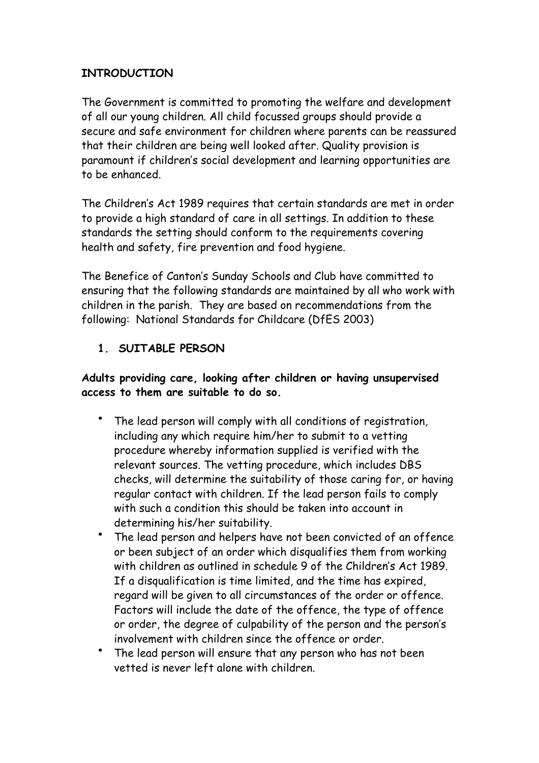#### **INTRODUCTION**

The Government is committed to promoting the welfare and development of all our young children. All child focussed groups should provide a secure and safe environment for children where parents can be reassured that their children are being well looked after. Quality provision is paramount if children's social development and learning opportunities are to be enhanced.

The Children's Act 1989 requires that certain standards are met in order to provide a high standard of care in all settings. In addition to these standards the setting should conform to the requirements covering health and safety, fire prevention and food hygiene.

The Benefice of Canton's Sunday Schools and Club have committed to ensuring that the following standards are maintained by all who work with children in the parish. They are based on recommendations from the following: National Standards for Childcare (DfES 2003)

## **1. SUITABLE PERSON**

#### **Adults providing care, looking after children or having unsupervised access to them are suitable to do so.**

- The lead person will comply with all conditions of registration, including any which require him/her to submit to a vetting procedure whereby information supplied is verified with the relevant sources. The vetting procedure, which includes DBS checks, will determine the suitability of those caring for, or having regular contact with children. If the lead person fails to comply with such a condition this should be taken into account in determining his/her suitability.
- The lead person and helpers have not been convicted of an offence or been subject of an order which disqualifies them from working with children as outlined in schedule 9 of the Children's Act 1989. If a disqualification is time limited, and the time has expired, regard will be given to all circumstances of the order or offence. Factors will include the date of the offence, the type of offence or order, the degree of culpability of the person and the person's involvement with children since the offence or order.
- The lead person will ensure that any person who has not been vetted is never left alone with children.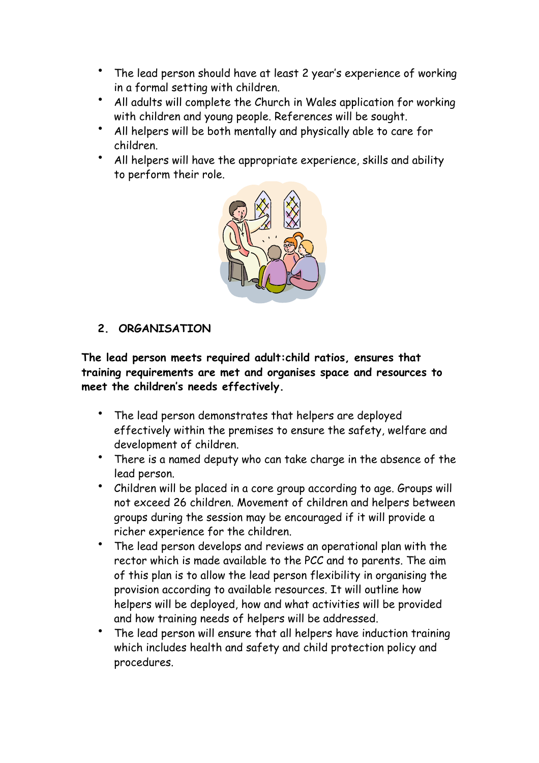- The lead person should have at least 2 year's experience of working in a formal setting with children.
- All adults will complete the Church in Wales application for working with children and young people. References will be sought.
- All helpers will be both mentally and physically able to care for children.
- All helpers will have the appropriate experience, skills and ability to perform their role.



#### **2. ORGANISATION**

**The lead person meets required adult:child ratios, ensures that training requirements are met and organises space and resources to meet the children's needs effectively.** 

- The lead person demonstrates that helpers are deployed effectively within the premises to ensure the safety, welfare and development of children.
- There is a named deputy who can take charge in the absence of the lead person.
- Children will be placed in a core group according to age. Groups will not exceed 26 children. Movement of children and helpers between groups during the session may be encouraged if it will provide a richer experience for the children.
- The lead person develops and reviews an operational plan with the rector which is made available to the PCC and to parents. The aim of this plan is to allow the lead person flexibility in organising the provision according to available resources. It will outline how helpers will be deployed, how and what activities will be provided and how training needs of helpers will be addressed.
- The lead person will ensure that all helpers have induction training which includes health and safety and child protection policy and procedures.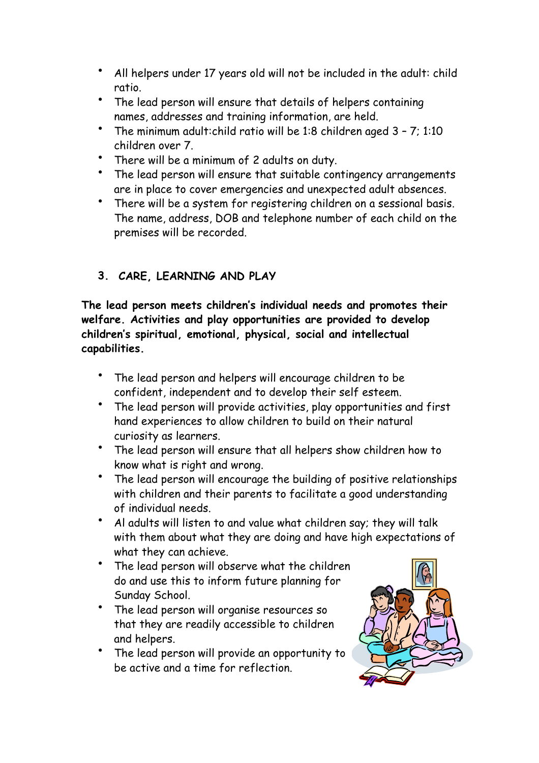- All helpers under 17 years old will not be included in the adult: child ratio.
- The lead person will ensure that details of helpers containing names, addresses and training information, are held.
- The minimum adult:child ratio will be 1:8 children aged 3 7; 1:10 children over 7.
- There will be a minimum of 2 adults on duty.
- The lead person will ensure that suitable contingency arrangements are in place to cover emergencies and unexpected adult absences.
- There will be a system for registering children on a sessional basis. The name, address, DOB and telephone number of each child on the premises will be recorded.

# **3. CARE, LEARNING AND PLAY**

**The lead person meets children's individual needs and promotes their welfare. Activities and play opportunities are provided to develop children's spiritual, emotional, physical, social and intellectual capabilities.** 

- The lead person and helpers will encourage children to be confident, independent and to develop their self esteem.
- The lead person will provide activities, play opportunities and first hand experiences to allow children to build on their natural curiosity as learners.
- The lead person will ensure that all helpers show children how to know what is right and wrong.
- The lead person will encourage the building of positive relationships with children and their parents to facilitate a good understanding of individual needs.
- Al adults will listen to and value what children say; they will talk with them about what they are doing and have high expectations of what they can achieve.
- The lead person will observe what the children do and use this to inform future planning for Sunday School.
- The lead person will organise resources so that they are readily accessible to children and helpers.
- The lead person will provide an opportunity to be active and a time for reflection.

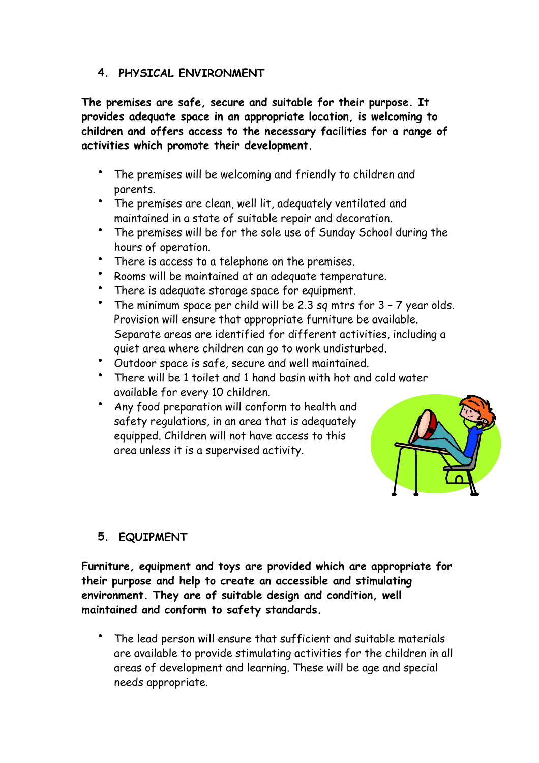#### **4. PHYSICAL ENVIRONMENT**

**The premises are safe, secure and suitable for their purpose. It provides adequate space in an appropriate location, is welcoming to children and offers access to the necessary facilities for a range of activities which promote their development.** 

- The premises will be welcoming and friendly to children and parents.
- The premises are clean, well lit, adequately ventilated and maintained in a state of suitable repair and decoration.
- The premises will be for the sole use of Sunday School during the hours of operation.
- There is access to a telephone on the premises.
- Rooms will be maintained at an adequate temperature.
- There is adequate storage space for equipment.
- The minimum space per child will be 2.3 sq mtrs for  $3 7$  year olds. Provision will ensure that appropriate furniture be available. Separate areas are identified for different activities, including a quiet area where children can go to work undisturbed.
- Outdoor space is safe, secure and well maintained.
- There will be 1 toilet and 1 hand basin with hot and cold water available for every 10 children.
- Any food preparation will conform to health and safety regulations, in an area that is adequately equipped. Children will not have access to this area unless it is a supervised activity.



#### **5. EQUIPMENT**

**Furniture, equipment and toys are provided which are appropriate for their purpose and help to create an accessible and stimulating environment. They are of suitable design and condition, well maintained and conform to safety standards.** 

The lead person will ensure that sufficient and suitable materials are available to provide stimulating activities for the children in all areas of development and learning. These will be age and special needs appropriate.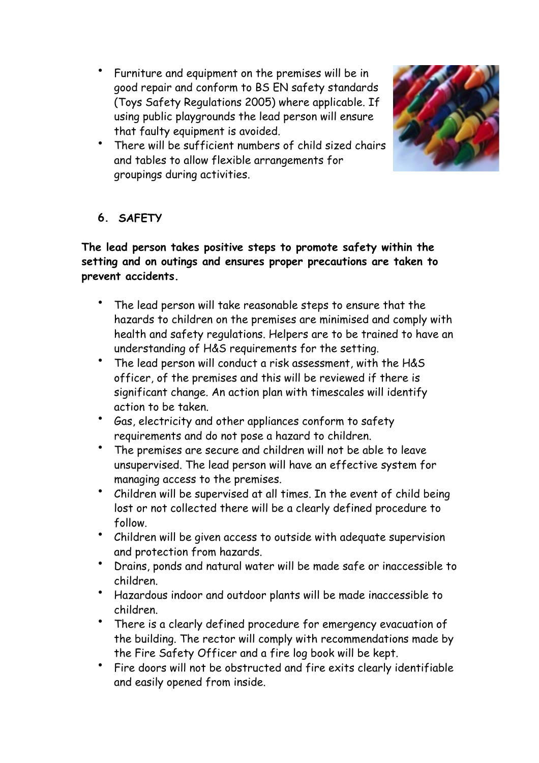• Furniture and equipment on the premises will be in good repair and conform to BS EN safety standards (Toys Safety Regulations 2005) where applicable. If using public playgrounds the lead person will ensure that faulty equipment is avoided.



There will be sufficient numbers of child sized chairs and tables to allow flexible arrangements for groupings during activities.

# **6. SAFETY**

## **The lead person takes positive steps to promote safety within the setting and on outings and ensures proper precautions are taken to prevent accidents.**

- The lead person will take reasonable steps to ensure that the hazards to children on the premises are minimised and comply with health and safety regulations. Helpers are to be trained to have an understanding of H&S requirements for the setting.
- The lead person will conduct a risk assessment, with the H&S officer, of the premises and this will be reviewed if there is significant change. An action plan with timescales will identify action to be taken.
- Gas, electricity and other appliances conform to safety requirements and do not pose a hazard to children.
- The premises are secure and children will not be able to leave unsupervised. The lead person will have an effective system for managing access to the premises.
- Children will be supervised at all times. In the event of child being lost or not collected there will be a clearly defined procedure to follow.
- Children will be given access to outside with adequate supervision and protection from hazards.
- Drains, ponds and natural water will be made safe or inaccessible to children.
- Hazardous indoor and outdoor plants will be made inaccessible to children.
- There is a clearly defined procedure for emergency evacuation of the building. The rector will comply with recommendations made by the Fire Safety Officer and a fire log book will be kept.
- Fire doors will not be obstructed and fire exits clearly identifiable and easily opened from inside.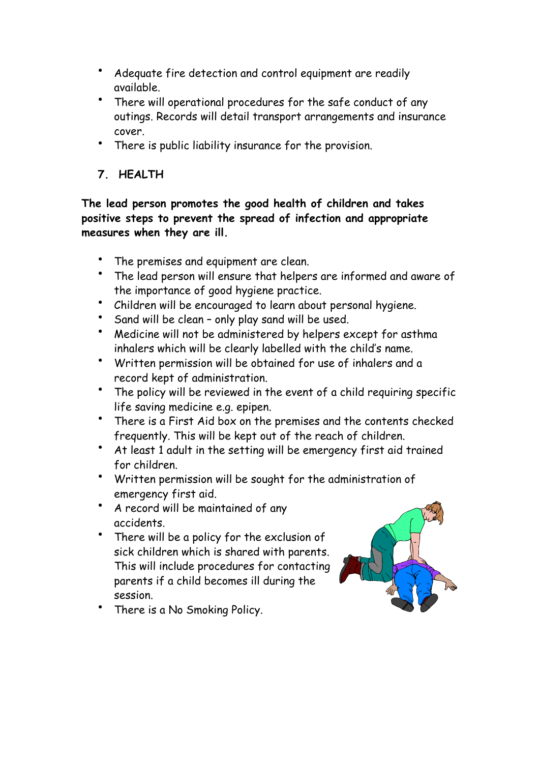- Adequate fire detection and control equipment are readily available.
- There will operational procedures for the safe conduct of any outings. Records will detail transport arrangements and insurance cover.
- There is public liability insurance for the provision.
- **7. HEALTH**

**The lead person promotes the good health of children and takes positive steps to prevent the spread of infection and appropriate measures when they are ill.** 

- The premises and equipment are clean.
- The lead person will ensure that helpers are informed and aware of the importance of good hygiene practice.
- Children will be encouraged to learn about personal hygiene.
- Sand will be clean only play sand will be used.
- Medicine will not be administered by helpers except for asthma inhalers which will be clearly labelled with the child's name.
- Written permission will be obtained for use of inhalers and a record kept of administration.
- The policy will be reviewed in the event of a child requiring specific life saving medicine e.g. epipen.
- There is a First Aid box on the premises and the contents checked frequently. This will be kept out of the reach of children.
- At least 1 adult in the setting will be emergency first aid trained for children.
- Written permission will be sought for the administration of emergency first aid.
- A record will be maintained of any accidents.
- There will be a policy for the exclusion of sick children which is shared with parents. This will include procedures for contacting parents if a child becomes ill during the session.



There is a No Smoking Policy.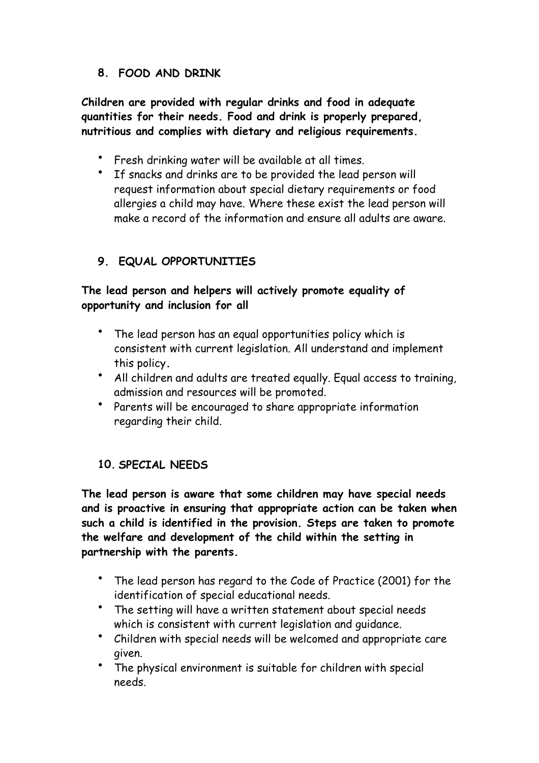## **8. FOOD AND DRINK**

**Children are provided with regular drinks and food in adequate quantities for their needs. Food and drink is properly prepared, nutritious and complies with dietary and religious requirements.** 

- Fresh drinking water will be available at all times.
- If snacks and drinks are to be provided the lead person will request information about special dietary requirements or food allergies a child may have. Where these exist the lead person will make a record of the information and ensure all adults are aware.

## **9. EQUAL OPPORTUNITIES**

## **The lead person and helpers will actively promote equality of opportunity and inclusion for all**

- The lead person has an equal opportunities policy which is consistent with current legislation. All understand and implement this policy**.**
- All children and adults are treated equally. Equal access to training, admission and resources will be promoted.
- Parents will be encouraged to share appropriate information regarding their child.

#### **10. SPECIAL NEEDS**

**The lead person is aware that some children may have special needs and is proactive in ensuring that appropriate action can be taken when such a child is identified in the provision. Steps are taken to promote the welfare and development of the child within the setting in partnership with the parents.** 

- The lead person has regard to the Code of Practice (2001) for the identification of special educational needs.
- The setting will have a written statement about special needs which is consistent with current legislation and guidance.
- Children with special needs will be welcomed and appropriate care given.
- The physical environment is suitable for children with special needs.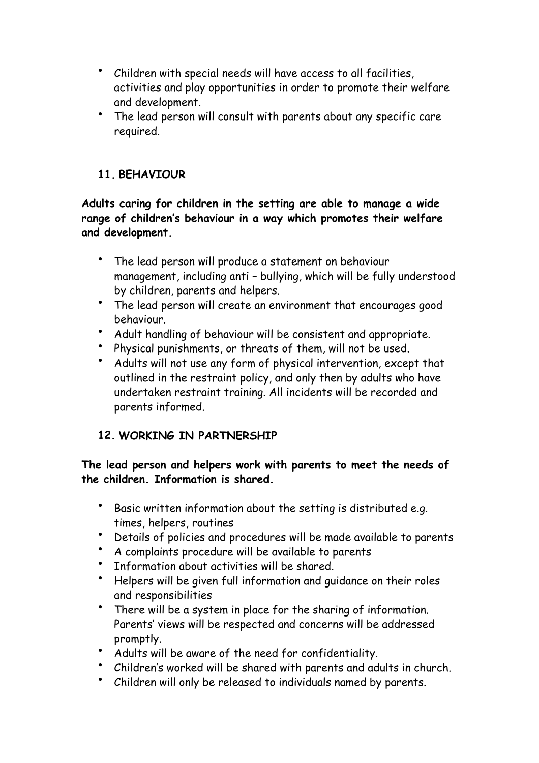- Children with special needs will have access to all facilities, activities and play opportunities in order to promote their welfare and development.
- The lead person will consult with parents about any specific care required.

# **11. BEHAVIOUR**

**Adults caring for children in the setting are able to manage a wide range of children's behaviour in a way which promotes their welfare and development.** 

- The lead person will produce a statement on behaviour management, including anti – bullying, which will be fully understood by children, parents and helpers.
- The lead person will create an environment that encourages good behaviour.
- Adult handling of behaviour will be consistent and appropriate.<br>• Dhurical nunichments or threats of them. will not be used.
- Physical punishments, or threats of them, will not be used.
- Adults will not use any form of physical intervention, except that outlined in the restraint policy, and only then by adults who have undertaken restraint training. All incidents will be recorded and parents informed.

# **12. WORKING IN PARTNERSHIP**

**The lead person and helpers work with parents to meet the needs of the children. Information is shared.** 

- Basic written information about the setting is distributed e.g. times, helpers, routines
- Details of policies and procedures will be made available to parents
- A complaints procedure will be available to parents
- Information about activities will be shared.
- Helpers will be given full information and guidance on their roles and responsibilities
- There will be a system in place for the sharing of information. Parents' views will be respected and concerns will be addressed promptly.
- Adults will be aware of the need for confidentiality.
- Children's worked will be shared with parents and adults in church.
- Children will only be released to individuals named by parents.